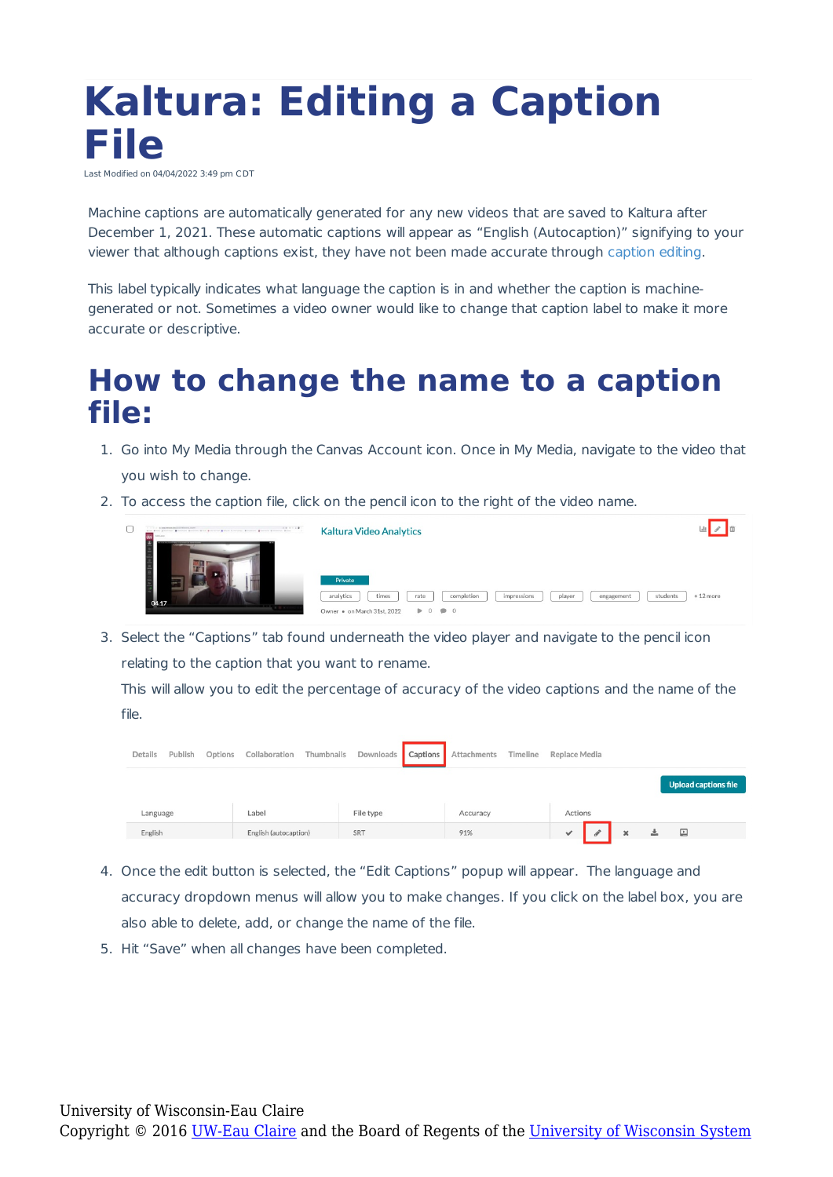## **Kaltura: Editing a Caption File** Last Modified on 04/04/2022 3:49 pm CDT

Machine captions are automatically generated for any new videos that are saved to Kaltura after December 1, 2021. These automatic captions will appear as "English (Autocaption)" signifying to your viewer that although captions exist, they have not been made accurate through caption editing.

This label typically indicates what language the caption is in and whether the caption is machinegenerated or not. Sometimes a video owner would like to change that caption label to make it more accurate or descriptive.

## **How to change the name to a caption file:**

- 1. Go into My Media through the Canvas Account icon. Once in My Media, navigate to the video that you wish to change.
- 2. To access the caption file, click on the pencil icon to the right of the video name.



3. Select the "Captions" tab found underneath the video player and navigate to the pencil icon relating to the caption that you want to rename.

This will allow you to edit the percentage of accuracy of the video captions and the name of the file.

| Details  | Publish | Options | Collaboration         |           |     |  | Thumbnails Downloads Captions Attachments Timeline Replace Media |  |         |  |   |                      |  |
|----------|---------|---------|-----------------------|-----------|-----|--|------------------------------------------------------------------|--|---------|--|---|----------------------|--|
|          |         |         |                       |           |     |  |                                                                  |  |         |  |   | Upload captions file |  |
| Language |         |         | Label                 | File type |     |  | Accuracy                                                         |  | Actions |  |   |                      |  |
| English  |         |         | English (autocaption) |           | SRT |  | 91%                                                              |  | ✓       |  | 灬 | ▣                    |  |

- 4. Once the edit button is selected, the "Edit Captions" popup will appear. The language and accuracy dropdown menus will allow you to make changes. If you click on the label box, you are also able to delete, add, or change the name of the file.
- 5. Hit "Save" when all changes have been completed.